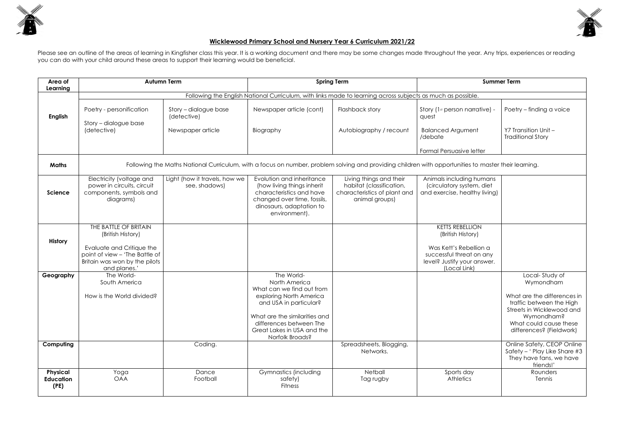

## **Wicklewood Primary School and Nursery Year 6 Curriculum 2021/22**

Please see an outline of the areas of learning in Kingfisher class this year. It is a working document and there may be some changes made throughout the year. Any trips, experiences or reading you can do with your child around these areas to support their learning would be beneficial.

| Area of<br>Learning                         | <b>Autumn Term</b>                                                                                                                                         |                                                | <b>Spring Term</b>                                                                                                                                                                                                         |                                                                                                       | <b>Summer Term</b>                                                                                                                               |                                                                                                                                                                                         |  |  |
|---------------------------------------------|------------------------------------------------------------------------------------------------------------------------------------------------------------|------------------------------------------------|----------------------------------------------------------------------------------------------------------------------------------------------------------------------------------------------------------------------------|-------------------------------------------------------------------------------------------------------|--------------------------------------------------------------------------------------------------------------------------------------------------|-----------------------------------------------------------------------------------------------------------------------------------------------------------------------------------------|--|--|
|                                             | Following the English National Curriculum, with links made to learning across subjects as much as possible.                                                |                                                |                                                                                                                                                                                                                            |                                                                                                       |                                                                                                                                                  |                                                                                                                                                                                         |  |  |
| <b>English</b>                              | Poetry - personification                                                                                                                                   | Story - dialogue base<br>(detective)           | Newspaper article (cont)                                                                                                                                                                                                   | Flashback story                                                                                       | Story (1st person narrative) -<br>quest                                                                                                          | Poetry - finding a voice                                                                                                                                                                |  |  |
|                                             | Story - dialogue base<br>(detective)                                                                                                                       | Newspaper article                              | Biography                                                                                                                                                                                                                  | Autobiography / recount                                                                               | <b>Balanced Argument</b><br>/debate                                                                                                              | Y7 Transition Unit -<br><b>Traditional Story</b>                                                                                                                                        |  |  |
|                                             |                                                                                                                                                            |                                                |                                                                                                                                                                                                                            |                                                                                                       | Formal Persuasive letter                                                                                                                         |                                                                                                                                                                                         |  |  |
| <b>Maths</b>                                | Following the Maths National Curriculum, with a focus on number, problem solving and providing children with opportunities to master their learning.       |                                                |                                                                                                                                                                                                                            |                                                                                                       |                                                                                                                                                  |                                                                                                                                                                                         |  |  |
| Science                                     | Electricity (voltage and<br>power in circuits, circuit<br>components, symbols and<br>diagrams)                                                             | Light (how it travels, how we<br>see, shadows) | Evolution and inheritance<br>(how living things inherit<br>characteristics and have<br>changed over time, fossils,<br>dinosaurs, adaptation to<br>environment).                                                            | Living things and their<br>habitat (classification,<br>characteristics of plant and<br>animal groups) | Animals including humans<br>(circulatory system, diet<br>and exercise, healthy living)                                                           |                                                                                                                                                                                         |  |  |
| <b>History</b>                              | THE BATTLE OF BRITAIN<br>(British History)<br>Evaluate and Critique the<br>point of view - 'The Battle of<br>Britain was won by the pilots<br>and planes.' |                                                |                                                                                                                                                                                                                            |                                                                                                       | <b>KETTS REBELLION</b><br>(British History)<br>Was Kett's Rebellion a<br>successful threat on any<br>level? Justify your answer.<br>(Local Link) |                                                                                                                                                                                         |  |  |
| Geography                                   | The World-<br>South America<br>How is the World divided?                                                                                                   |                                                | The World-<br>North America<br>What can we find out from<br>exploring North America<br>and USA in particular?<br>What are the similarities and<br>differences between The<br>Great Lakes in USA and the<br>Norfolk Broads? |                                                                                                       |                                                                                                                                                  | Local-Study of<br>Wymondham<br>What are the differences in<br>traffic between the High<br>Streets in Wicklewood and<br>Wymondham?<br>What could cause these<br>differences? (Fieldwork) |  |  |
| Computing                                   |                                                                                                                                                            | Coding.                                        |                                                                                                                                                                                                                            | Spreadsheets, Blogging,<br>Networks.                                                                  |                                                                                                                                                  | Online Safety, CEOP Online<br>Safety - ' Play Like Share #3<br>They have fans, we have<br>friends!'                                                                                     |  |  |
| <b>Physical</b><br><b>Education</b><br>(PE) | Yoga<br><b>OAA</b>                                                                                                                                         | Dance<br>Football                              | Gymnastics (including<br>safety)<br><b>Fitness</b>                                                                                                                                                                         | Netball<br>Tag rugby                                                                                  | Sports day<br><b>Athletics</b>                                                                                                                   | Rounders<br>Tennis                                                                                                                                                                      |  |  |